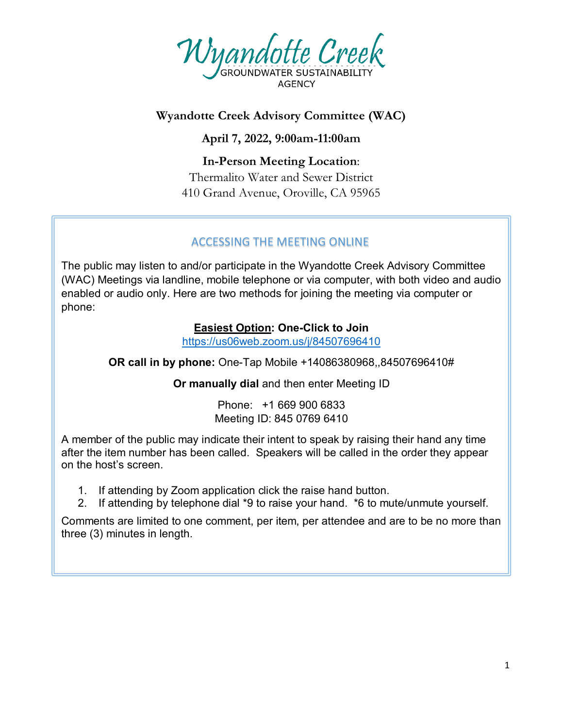

## **Wyandotte Creek Advisory Committee (WAC)**

**April 7, 2022, 9:00am-11:00am**

**In-Person Meeting Location**: Thermalito Water and Sewer District 410 Grand Avenue, Oroville, CA 95965

## ACCESSING THE MEETING ONLINE

The public may listen to and/or participate in the Wyandotte Creek Advisory Committee (WAC) Meetings via landline, mobile telephone or via computer, with both video and audio enabled or audio only. Here are two methods for joining the meeting via computer or phone:

## **Easiest Option: One-Click to Join**

<https://us06web.zoom.us/j/84507696410>

**OR call in by phone:** One-Tap Mobile +14086380968,,84507696410#

**Or manually dial** and then enter Meeting ID

Phone: +1 669 900 6833 Meeting ID: 845 0769 6410

A member of the public may indicate their intent to speak by raising their hand any time after the item number has been called. Speakers will be called in the order they appear on the host's screen.

- 1. If attending by Zoom application click the raise hand button.
- 2. If attending by telephone dial \*9 to raise your hand. \*6 to mute/unmute yourself.

Comments are limited to one comment, per item, per attendee and are to be no more than three (3) minutes in length.